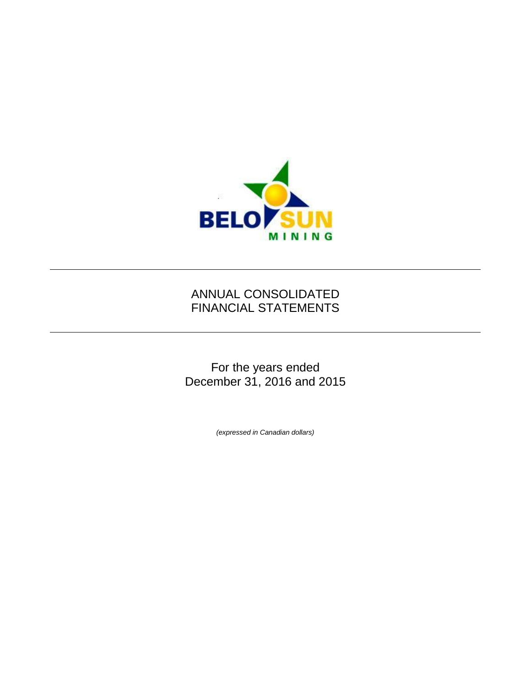

# ANNUAL CONSOLIDATED FINANCIAL STATEMENTS

For the years ended December 31, 2016 and 2015

*(expressed in Canadian dollars)*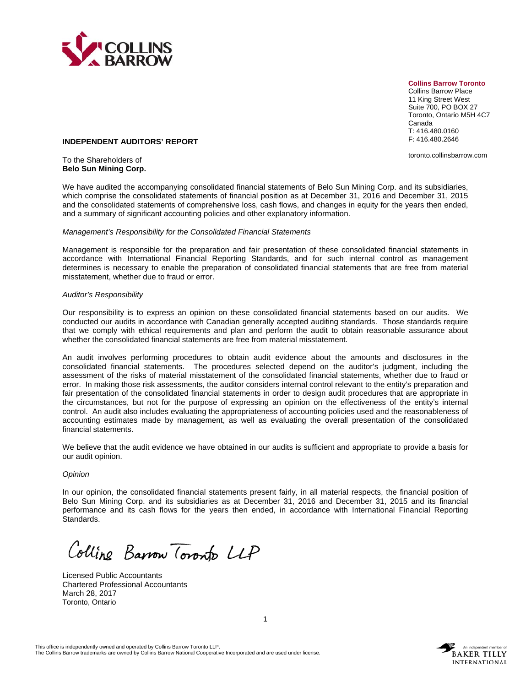

**Collins Barrow Toronto**  Collins Barrow Place 11 King Street West Suite 700, PO BOX 27 Toronto, Ontario M5H 4C7 Canada T: 416.480.0160 F: 416.480.2646

toronto.collinsbarrow.com

#### **INDEPENDENT AUDITORS' REPORT**

To the Shareholders of **Belo Sun Mining Corp.**

We have audited the accompanying consolidated financial statements of Belo Sun Mining Corp. and its subsidiaries, which comprise the consolidated statements of financial position as at December 31, 2016 and December 31, 2015 and the consolidated statements of comprehensive loss, cash flows, and changes in equity for the years then ended, and a summary of significant accounting policies and other explanatory information.

#### *Management's Responsibility for the Consolidated Financial Statements*

Management is responsible for the preparation and fair presentation of these consolidated financial statements in accordance with International Financial Reporting Standards, and for such internal control as management determines is necessary to enable the preparation of consolidated financial statements that are free from material misstatement, whether due to fraud or error.

#### *Auditor's Responsibility*

Our responsibility is to express an opinion on these consolidated financial statements based on our audits. We conducted our audits in accordance with Canadian generally accepted auditing standards. Those standards require that we comply with ethical requirements and plan and perform the audit to obtain reasonable assurance about whether the consolidated financial statements are free from material misstatement.

An audit involves performing procedures to obtain audit evidence about the amounts and disclosures in the consolidated financial statements. The procedures selected depend on the auditor's judgment, including the assessment of the risks of material misstatement of the consolidated financial statements, whether due to fraud or error. In making those risk assessments, the auditor considers internal control relevant to the entity's preparation and fair presentation of the consolidated financial statements in order to design audit procedures that are appropriate in the circumstances, but not for the purpose of expressing an opinion on the effectiveness of the entity's internal control. An audit also includes evaluating the appropriateness of accounting policies used and the reasonableness of accounting estimates made by management, as well as evaluating the overall presentation of the consolidated financial statements.

We believe that the audit evidence we have obtained in our audits is sufficient and appropriate to provide a basis for our audit opinion.

#### *Opinion*

In our opinion, the consolidated financial statements present fairly, in all material respects, the financial position of Belo Sun Mining Corp. and its subsidiaries as at December 31, 2016 and December 31, 2015 and its financial performance and its cash flows for the years then ended, in accordance with International Financial Reporting Standards.

Colline Barrow Toronto LLP

Licensed Public Accountants Chartered Professional Accountants March 28, 2017 Toronto, Ontario

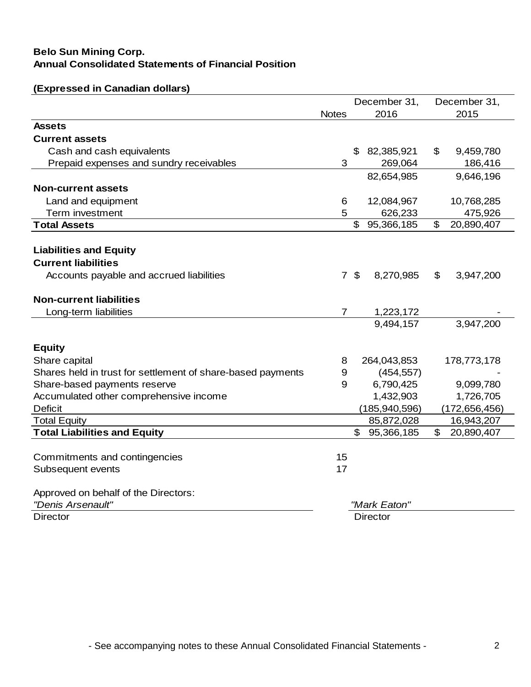## **Annual Consolidated Statements of Financial Position Belo Sun Mining Corp.**

## **(Expressed in Canadian dollars)**

|                                                             |                | December 31,   |                 | December 31, |                 |
|-------------------------------------------------------------|----------------|----------------|-----------------|--------------|-----------------|
|                                                             | <b>Notes</b>   |                | 2016            |              | 2015            |
| <b>Assets</b>                                               |                |                |                 |              |                 |
| <b>Current assets</b>                                       |                |                |                 |              |                 |
| Cash and cash equivalents                                   |                | \$             | 82,385,921      | \$           | 9,459,780       |
| Prepaid expenses and sundry receivables                     | 3              |                | 269,064         |              | 186,416         |
|                                                             |                |                | 82,654,985      |              | 9,646,196       |
| <b>Non-current assets</b>                                   |                |                |                 |              |                 |
| Land and equipment                                          | 6              |                | 12,084,967      |              | 10,768,285      |
| Term investment                                             | 5              |                | 626,233         |              | 475,926         |
| <b>Total Assets</b>                                         |                | $\mathfrak{L}$ | 95,366,185      | \$           | 20,890,407      |
|                                                             |                |                |                 |              |                 |
| <b>Liabilities and Equity</b>                               |                |                |                 |              |                 |
| <b>Current liabilities</b>                                  |                |                |                 |              |                 |
| Accounts payable and accrued liabilities                    |                | 7 <sup>°</sup> | 8,270,985       | \$           | 3,947,200       |
|                                                             |                |                |                 |              |                 |
| <b>Non-current liabilities</b>                              |                |                |                 |              |                 |
| Long-term liabilities                                       | $\overline{7}$ |                | 1,223,172       |              |                 |
|                                                             |                |                | 9,494,157       |              | 3,947,200       |
|                                                             |                |                |                 |              |                 |
| <b>Equity</b>                                               |                |                |                 |              |                 |
| Share capital                                               | 8              |                | 264,043,853     |              | 178,773,178     |
| Shares held in trust for settlement of share-based payments | 9              |                | (454, 557)      |              |                 |
| Share-based payments reserve                                | 9              |                | 6,790,425       |              | 9,099,780       |
| Accumulated other comprehensive income                      |                |                | 1,432,903       |              | 1,726,705       |
| <b>Deficit</b>                                              |                |                | (185, 940, 596) |              | (172, 656, 456) |
| <b>Total Equity</b>                                         |                |                | 85,872,028      |              | 16,943,207      |
| <b>Total Liabilities and Equity</b>                         |                | \$             | 95,366,185      | \$           | 20,890,407      |
|                                                             |                |                |                 |              |                 |
| Commitments and contingencies                               | 15             |                |                 |              |                 |
| Subsequent events                                           | 17             |                |                 |              |                 |
|                                                             |                |                |                 |              |                 |
| Approved on behalf of the Directors:                        |                |                |                 |              |                 |
| "Denis Arsenault"                                           |                |                | "Mark Eaton"    |              |                 |
| Director                                                    |                |                | <b>Director</b> |              |                 |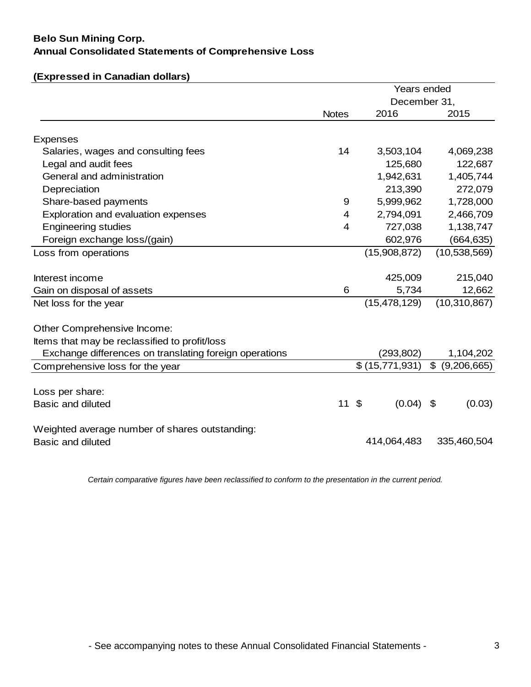## **Annual Consolidated Statements of Comprehensive Loss Belo Sun Mining Corp.**

## **(Expressed in Canadian dollars)**

|                                                        |              | Years ended    |                 |                |                |  |
|--------------------------------------------------------|--------------|----------------|-----------------|----------------|----------------|--|
|                                                        |              |                | December 31,    |                |                |  |
|                                                        | <b>Notes</b> |                | 2016            |                | 2015           |  |
| Expenses                                               |              |                |                 |                |                |  |
| Salaries, wages and consulting fees                    | 14           |                | 3,503,104       |                | 4,069,238      |  |
| Legal and audit fees                                   |              |                | 125,680         |                | 122,687        |  |
| General and administration                             |              |                | 1,942,631       |                | 1,405,744      |  |
| Depreciation                                           |              |                | 213,390         |                | 272,079        |  |
| Share-based payments                                   | 9            |                | 5,999,962       |                | 1,728,000      |  |
| Exploration and evaluation expenses                    | 4            |                | 2,794,091       |                | 2,466,709      |  |
| <b>Engineering studies</b>                             | 4            |                | 727,038         |                | 1,138,747      |  |
| Foreign exchange loss/(gain)                           |              |                | 602,976         |                | (664, 635)     |  |
| Loss from operations                                   |              |                | (15,908,872)    |                | (10,538,569)   |  |
|                                                        |              |                |                 |                |                |  |
| Interest income                                        |              |                | 425,009         |                | 215,040        |  |
| Gain on disposal of assets                             | 6            |                | 5,734           |                | 12,662         |  |
| Net loss for the year                                  |              |                | (15, 478, 129)  |                | (10, 310, 867) |  |
| Other Comprehensive Income:                            |              |                |                 |                |                |  |
| Items that may be reclassified to profit/loss          |              |                |                 |                |                |  |
| Exchange differences on translating foreign operations |              |                | (293, 802)      |                | 1,104,202      |  |
| Comprehensive loss for the year                        |              |                | \$ (15,771,931) | $\mathfrak{L}$ | (9,206,665)    |  |
|                                                        |              |                |                 |                |                |  |
| Loss per share:                                        |              |                |                 |                |                |  |
| <b>Basic and diluted</b>                               | 11           | $\mathfrak{F}$ | (0.04)          | \$             | (0.03)         |  |
| Weighted average number of shares outstanding:         |              |                |                 |                |                |  |
| <b>Basic and diluted</b>                               |              |                | 414,064,483     |                | 335,460,504    |  |
|                                                        |              |                |                 |                |                |  |

*Certain comparative figures have been reclassified to conform to the presentation in the current period.*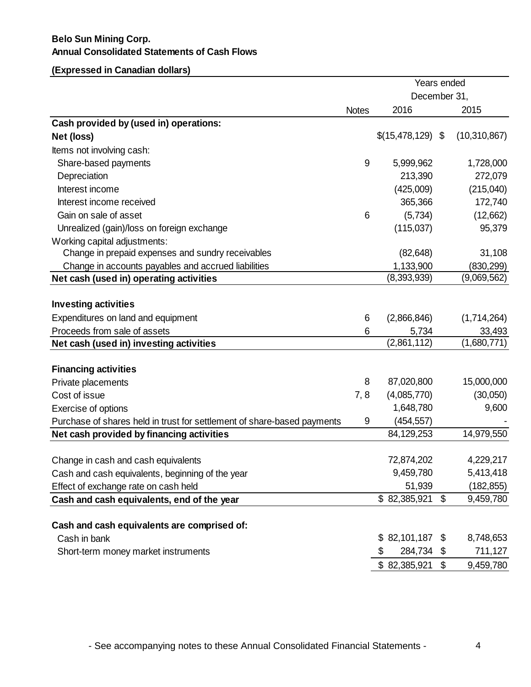# **Annual Consolidated Statements of Cash Flows Belo Sun Mining Corp.**

## **(Expressed in Canadian dollars)**

|                                                                         |              | Years ended         |    |                |  |  |
|-------------------------------------------------------------------------|--------------|---------------------|----|----------------|--|--|
|                                                                         |              | December 31,        |    |                |  |  |
|                                                                         | <b>Notes</b> | 2016                |    | 2015           |  |  |
| Cash provided by (used in) operations:                                  |              |                     |    |                |  |  |
| Net (loss)                                                              |              | $$(15,478,129)$ \\$ |    | (10, 310, 867) |  |  |
| Items not involving cash:                                               |              |                     |    |                |  |  |
| Share-based payments                                                    | 9            | 5,999,962           |    | 1,728,000      |  |  |
| Depreciation                                                            |              | 213,390             |    | 272,079        |  |  |
| Interest income                                                         |              | (425,009)           |    | (215,040)      |  |  |
| Interest income received                                                |              | 365,366             |    | 172,740        |  |  |
| Gain on sale of asset                                                   | 6            | (5,734)             |    | (12,662)       |  |  |
| Unrealized (gain)/loss on foreign exchange                              |              | (115,037)           |    | 95,379         |  |  |
| Working capital adjustments:                                            |              |                     |    |                |  |  |
| Change in prepaid expenses and sundry receivables                       |              | (82, 648)           |    | 31,108         |  |  |
| Change in accounts payables and accrued liabilities                     |              | 1,133,900           |    | (830, 299)     |  |  |
| Net cash (used in) operating activities                                 |              | (8,393,939)         |    | (9,069,562)    |  |  |
|                                                                         |              |                     |    |                |  |  |
| <b>Investing activities</b>                                             |              |                     |    |                |  |  |
| Expenditures on land and equipment                                      | 6            | (2,866,846)         |    | (1,714,264)    |  |  |
| Proceeds from sale of assets                                            | 6            | 5,734               |    | 33,493         |  |  |
| Net cash (used in) investing activities                                 |              | (2,861,112)         |    | (1,680,771)    |  |  |
|                                                                         |              |                     |    |                |  |  |
| <b>Financing activities</b>                                             |              |                     |    |                |  |  |
| Private placements                                                      | 8            | 87,020,800          |    | 15,000,000     |  |  |
| Cost of issue                                                           | 7, 8         | (4,085,770)         |    | (30,050)       |  |  |
| Exercise of options                                                     |              | 1,648,780           |    | 9,600          |  |  |
| Purchase of shares held in trust for settlement of share-based payments | 9            | (454, 557)          |    |                |  |  |
| Net cash provided by financing activities                               |              | 84,129,253          |    | 14,979,550     |  |  |
|                                                                         |              |                     |    |                |  |  |
| Change in cash and cash equivalents                                     |              | 72,874,202          |    | 4,229,217      |  |  |
| Cash and cash equivalents, beginning of the year                        |              | 9,459,780           |    | 5,413,418      |  |  |
| Effect of exchange rate on cash held                                    |              | 51,939              |    | (182, 855)     |  |  |
| Cash and cash equivalents, end of the year                              |              | \$82,385,921        | \$ | 9,459,780      |  |  |
|                                                                         |              |                     |    |                |  |  |
| Cash and cash equivalents are comprised of:                             |              |                     |    |                |  |  |
| Cash in bank                                                            |              | 82,101,187<br>\$    | \$ | 8,748,653      |  |  |
| Short-term money market instruments                                     |              | 284,734<br>\$       | \$ | 711,127        |  |  |
|                                                                         |              | \$82,385,921        | \$ | 9,459,780      |  |  |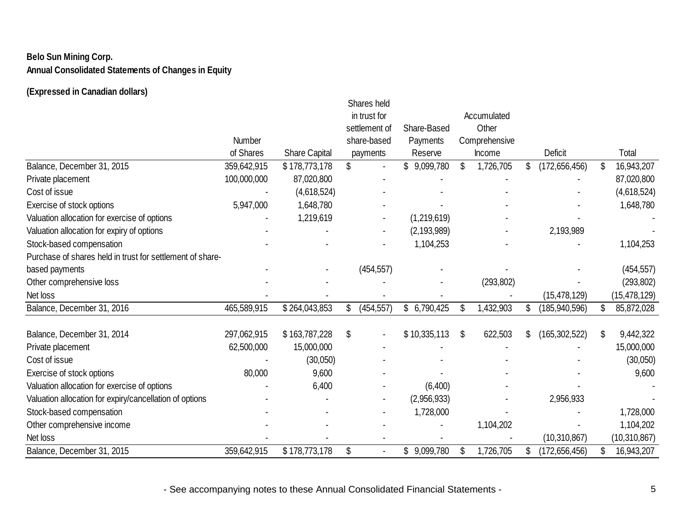## **Belo Sun Mining Corp. Annual Consolidated Statements of Changes in Equity**

## **(Expressed in Canadian dollars)**

|                                                           |             |                      | Shares held          |               |                 |                       |                  |
|-----------------------------------------------------------|-------------|----------------------|----------------------|---------------|-----------------|-----------------------|------------------|
|                                                           |             |                      | in trust for         |               | Accumulated     |                       |                  |
|                                                           |             |                      | settlement of        | Share-Based   | Other           |                       |                  |
|                                                           | Number      |                      | share-based          | Payments      | Comprehensive   |                       |                  |
|                                                           | of Shares   | <b>Share Capital</b> | payments             | Reserve       | Income          | <b>Deficit</b>        | Total            |
| Balance, December 31, 2015                                | 359,642,915 | \$178,773,178        | \$<br>$\blacksquare$ | \$9,099,780   | \$<br>1,726,705 | \$<br>(172, 656, 456) | \$<br>16,943,207 |
| Private placement                                         | 100,000,000 | 87,020,800           |                      |               |                 |                       | 87,020,800       |
| Cost of issue                                             |             | (4,618,524)          |                      |               |                 |                       | (4,618,524)      |
| Exercise of stock options                                 | 5,947,000   | 1,648,780            |                      |               |                 |                       | 1,648,780        |
| Valuation allocation for exercise of options              |             | 1,219,619            |                      | (1,219,619)   |                 |                       |                  |
| Valuation allocation for expiry of options                |             |                      |                      | (2, 193, 989) |                 | 2,193,989             |                  |
| Stock-based compensation                                  |             |                      |                      | 1,104,253     |                 |                       | 1,104,253        |
| Purchase of shares held in trust for settlement of share- |             |                      |                      |               |                 |                       |                  |
| based payments                                            |             |                      | (454, 557)           |               |                 |                       | (454, 557)       |
| Other comprehensive loss                                  |             |                      |                      |               | (293, 802)      |                       | (293, 802)       |
| Net loss                                                  |             |                      |                      |               |                 | (15, 478, 129)        | (15, 478, 129)   |
| Balance, December 31, 2016                                | 465,589,915 | \$264,043,853        | \$<br>(454, 557)     | \$6,790,425   | \$<br>1,432,903 | \$<br>(185, 940, 596) | \$<br>85,872,028 |
|                                                           |             |                      |                      |               | \$              |                       |                  |
| Balance, December 31, 2014                                | 297,062,915 | \$163,787,228        | \$                   | \$10,335,113  | 622,503         | \$<br>(165, 302, 522) | \$<br>9,442,322  |
| Private placement                                         | 62,500,000  | 15,000,000           |                      |               |                 |                       | 15,000,000       |
| Cost of issue                                             |             | (30,050)             |                      |               |                 |                       | (30,050)         |
| Exercise of stock options                                 | 80,000      | 9,600                |                      |               |                 |                       | 9,600            |
| Valuation allocation for exercise of options              |             | 6,400                |                      | (6,400)       |                 |                       |                  |
| Valuation allocation for expiry/cancellation of options   |             |                      |                      | (2,956,933)   |                 | 2,956,933             |                  |
| Stock-based compensation                                  |             |                      |                      | 1,728,000     |                 |                       | 1,728,000        |
| Other comprehensive income                                |             |                      |                      |               | 1,104,202       |                       | 1,104,202        |
| Net loss                                                  |             |                      |                      |               |                 | (10, 310, 867)        | (10, 310, 867)   |
| Balance, December 31, 2015                                | 359,642,915 | \$178,773,178        | \$                   | \$9,099,780   | 1,726,705       | \$<br>(172, 656, 456) | 16,943,207       |

- See accompanying notes to these Annual Consolidated Financial Statements -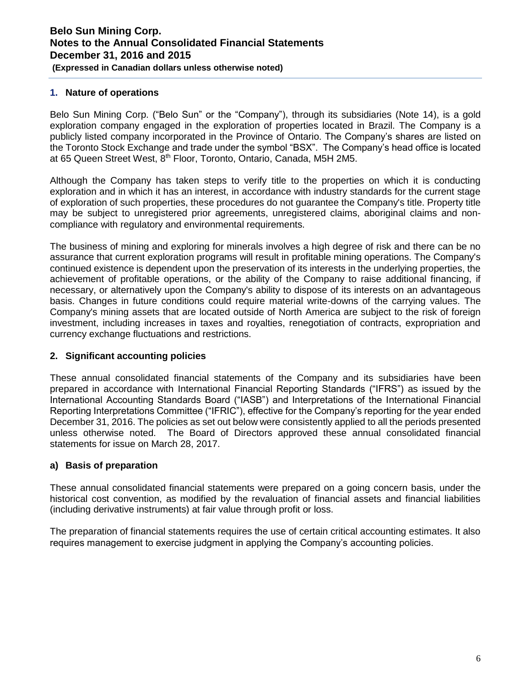#### **1. Nature of operations**

Belo Sun Mining Corp. ("Belo Sun" or the "Company"), through its subsidiaries (Note 14), is a gold exploration company engaged in the exploration of properties located in Brazil. The Company is a publicly listed company incorporated in the Province of Ontario. The Company's shares are listed on the Toronto Stock Exchange and trade under the symbol "BSX". The Company's head office is located at 65 Queen Street West, 8th Floor, Toronto, Ontario, Canada, M5H 2M5.

Although the Company has taken steps to verify title to the properties on which it is conducting exploration and in which it has an interest, in accordance with industry standards for the current stage of exploration of such properties, these procedures do not guarantee the Company's title. Property title may be subject to unregistered prior agreements, unregistered claims, aboriginal claims and noncompliance with regulatory and environmental requirements.

The business of mining and exploring for minerals involves a high degree of risk and there can be no assurance that current exploration programs will result in profitable mining operations. The Company's continued existence is dependent upon the preservation of its interests in the underlying properties, the achievement of profitable operations, or the ability of the Company to raise additional financing, if necessary, or alternatively upon the Company's ability to dispose of its interests on an advantageous basis. Changes in future conditions could require material write-downs of the carrying values. The Company's mining assets that are located outside of North America are subject to the risk of foreign investment, including increases in taxes and royalties, renegotiation of contracts, expropriation and currency exchange fluctuations and restrictions.

#### **2. Significant accounting policies**

These annual consolidated financial statements of the Company and its subsidiaries have been prepared in accordance with International Financial Reporting Standards ("IFRS") as issued by the International Accounting Standards Board ("IASB") and Interpretations of the International Financial Reporting Interpretations Committee ("IFRIC"), effective for the Company's reporting for the year ended December 31, 2016. The policies as set out below were consistently applied to all the periods presented unless otherwise noted. The Board of Directors approved these annual consolidated financial statements for issue on March 28, 2017.

#### **a) Basis of preparation**

These annual consolidated financial statements were prepared on a going concern basis, under the historical cost convention, as modified by the revaluation of financial assets and financial liabilities (including derivative instruments) at fair value through profit or loss.

The preparation of financial statements requires the use of certain critical accounting estimates. It also requires management to exercise judgment in applying the Company's accounting policies.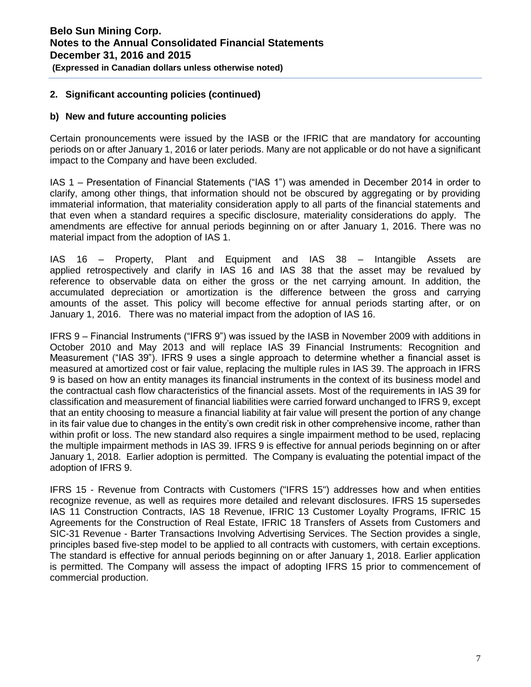#### **2. Significant accounting policies (continued)**

#### **b) New and future accounting policies**

Certain pronouncements were issued by the IASB or the IFRIC that are mandatory for accounting periods on or after January 1, 2016 or later periods. Many are not applicable or do not have a significant impact to the Company and have been excluded.

IAS 1 – Presentation of Financial Statements ("IAS 1") was amended in December 2014 in order to clarify, among other things, that information should not be obscured by aggregating or by providing immaterial information, that materiality consideration apply to all parts of the financial statements and that even when a standard requires a specific disclosure, materiality considerations do apply. The amendments are effective for annual periods beginning on or after January 1, 2016. There was no material impact from the adoption of IAS 1.

IAS 16 – Property, Plant and Equipment and IAS 38 – Intangible Assets are applied retrospectively and clarify in IAS 16 and IAS 38 that the asset may be revalued by reference to observable data on either the gross or the net carrying amount. In addition, the accumulated depreciation or amortization is the difference between the gross and carrying amounts of the asset. This policy will become effective for annual periods starting after, or on January 1, 2016. There was no material impact from the adoption of IAS 16.

IFRS 9 – Financial Instruments ("IFRS 9") was issued by the IASB in November 2009 with additions in October 2010 and May 2013 and will replace IAS 39 Financial Instruments: Recognition and Measurement ("IAS 39"). IFRS 9 uses a single approach to determine whether a financial asset is measured at amortized cost or fair value, replacing the multiple rules in IAS 39. The approach in IFRS 9 is based on how an entity manages its financial instruments in the context of its business model and the contractual cash flow characteristics of the financial assets. Most of the requirements in IAS 39 for classification and measurement of financial liabilities were carried forward unchanged to IFRS 9, except that an entity choosing to measure a financial liability at fair value will present the portion of any change in its fair value due to changes in the entity's own credit risk in other comprehensive income, rather than within profit or loss. The new standard also requires a single impairment method to be used, replacing the multiple impairment methods in IAS 39. IFRS 9 is effective for annual periods beginning on or after January 1, 2018. Earlier adoption is permitted. The Company is evaluating the potential impact of the adoption of IFRS 9.

IFRS 15 - Revenue from Contracts with Customers ("IFRS 15") addresses how and when entities recognize revenue, as well as requires more detailed and relevant disclosures. IFRS 15 supersedes IAS 11 Construction Contracts, IAS 18 Revenue, IFRIC 13 Customer Loyalty Programs, IFRIC 15 Agreements for the Construction of Real Estate, IFRIC 18 Transfers of Assets from Customers and SIC-31 Revenue - Barter Transactions Involving Advertising Services. The Section provides a single, principles based five-step model to be applied to all contracts with customers, with certain exceptions. The standard is effective for annual periods beginning on or after January 1, 2018. Earlier application is permitted. The Company will assess the impact of adopting IFRS 15 prior to commencement of commercial production.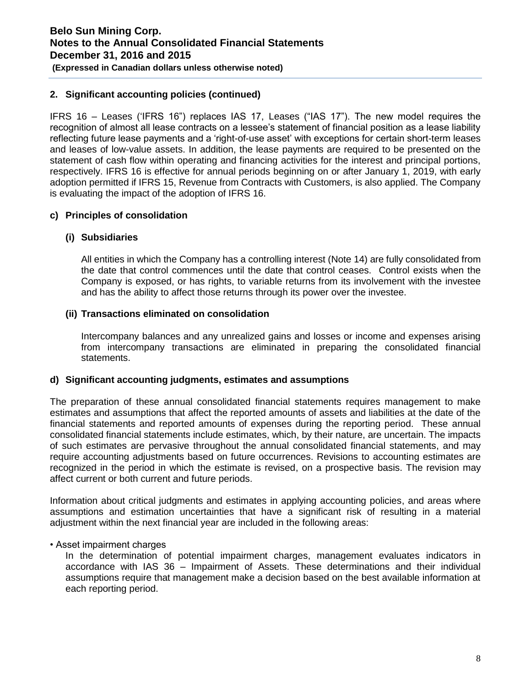#### **2. Significant accounting policies (continued)**

IFRS 16 – Leases ('IFRS 16") replaces IAS 17, Leases ("IAS 17"). The new model requires the recognition of almost all lease contracts on a lessee's statement of financial position as a lease liability reflecting future lease payments and a 'right-of-use asset' with exceptions for certain short-term leases and leases of low-value assets. In addition, the lease payments are required to be presented on the statement of cash flow within operating and financing activities for the interest and principal portions, respectively. IFRS 16 is effective for annual periods beginning on or after January 1, 2019, with early adoption permitted if IFRS 15, Revenue from Contracts with Customers, is also applied. The Company is evaluating the impact of the adoption of IFRS 16.

#### **c) Principles of consolidation**

#### **(i) Subsidiaries**

All entities in which the Company has a controlling interest (Note 14) are fully consolidated from the date that control commences until the date that control ceases. Control exists when the Company is exposed, or has rights, to variable returns from its involvement with the investee and has the ability to affect those returns through its power over the investee.

#### **(ii) Transactions eliminated on consolidation**

Intercompany balances and any unrealized gains and losses or income and expenses arising from intercompany transactions are eliminated in preparing the consolidated financial statements.

#### **d) Significant accounting judgments, estimates and assumptions**

The preparation of these annual consolidated financial statements requires management to make estimates and assumptions that affect the reported amounts of assets and liabilities at the date of the financial statements and reported amounts of expenses during the reporting period. These annual consolidated financial statements include estimates, which, by their nature, are uncertain. The impacts of such estimates are pervasive throughout the annual consolidated financial statements, and may require accounting adjustments based on future occurrences. Revisions to accounting estimates are recognized in the period in which the estimate is revised, on a prospective basis. The revision may affect current or both current and future periods.

Information about critical judgments and estimates in applying accounting policies, and areas where assumptions and estimation uncertainties that have a significant risk of resulting in a material adjustment within the next financial year are included in the following areas:

#### • Asset impairment charges

In the determination of potential impairment charges, management evaluates indicators in accordance with IAS 36 – Impairment of Assets. These determinations and their individual assumptions require that management make a decision based on the best available information at each reporting period.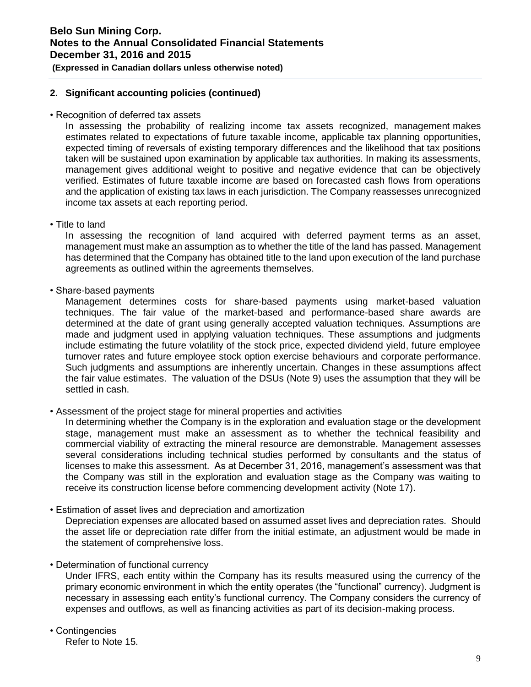## **Belo Sun Mining Corp. Notes to the Annual Consolidated Financial Statements December 31, 2016 and 2015**

**(Expressed in Canadian dollars unless otherwise noted)** 

#### **2. Significant accounting policies (continued)**

• Recognition of deferred tax assets

In assessing the probability of realizing income tax assets recognized, management makes estimates related to expectations of future taxable income, applicable tax planning opportunities, expected timing of reversals of existing temporary differences and the likelihood that tax positions taken will be sustained upon examination by applicable tax authorities. In making its assessments, management gives additional weight to positive and negative evidence that can be objectively verified. Estimates of future taxable income are based on forecasted cash flows from operations and the application of existing tax laws in each jurisdiction. The Company reassesses unrecognized income tax assets at each reporting period.

• Title to land

In assessing the recognition of land acquired with deferred payment terms as an asset, management must make an assumption as to whether the title of the land has passed. Management has determined that the Company has obtained title to the land upon execution of the land purchase agreements as outlined within the agreements themselves.

• Share-based payments

Management determines costs for share-based payments using market-based valuation techniques. The fair value of the market-based and performance-based share awards are determined at the date of grant using generally accepted valuation techniques. Assumptions are made and judgment used in applying valuation techniques. These assumptions and judgments include estimating the future volatility of the stock price, expected dividend yield, future employee turnover rates and future employee stock option exercise behaviours and corporate performance. Such judgments and assumptions are inherently uncertain. Changes in these assumptions affect the fair value estimates. The valuation of the DSUs (Note 9) uses the assumption that they will be settled in cash.

• Assessment of the project stage for mineral properties and activities

In determining whether the Company is in the exploration and evaluation stage or the development stage, management must make an assessment as to whether the technical feasibility and commercial viability of extracting the mineral resource are demonstrable. Management assesses several considerations including technical studies performed by consultants and the status of licenses to make this assessment. As at December 31, 2016, management's assessment was that the Company was still in the exploration and evaluation stage as the Company was waiting to receive its construction license before commencing development activity (Note 17).

• Estimation of asset lives and depreciation and amortization

Depreciation expenses are allocated based on assumed asset lives and depreciation rates. Should the asset life or depreciation rate differ from the initial estimate, an adjustment would be made in the statement of comprehensive loss.

• Determination of functional currency

Under IFRS, each entity within the Company has its results measured using the currency of the primary economic environment in which the entity operates (the "functional" currency). Judgment is necessary in assessing each entity's functional currency. The Company considers the currency of expenses and outflows, as well as financing activities as part of its decision-making process.

• Contingencies Refer to Note 15.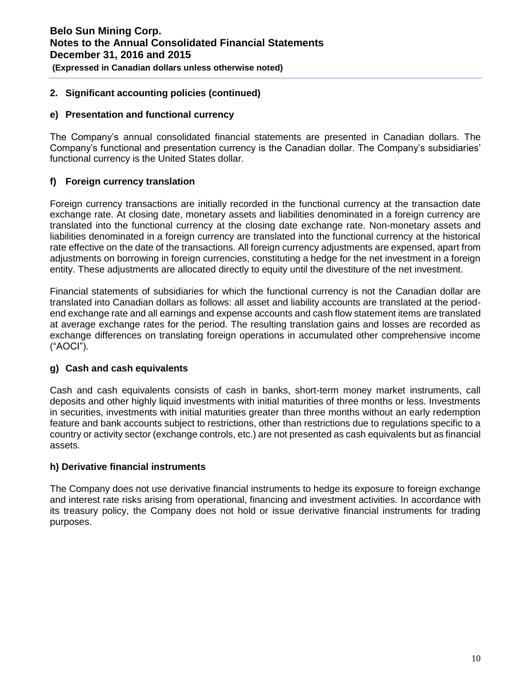#### **2. Significant accounting policies (continued)**

#### **e) Presentation and functional currency**

The Company's annual consolidated financial statements are presented in Canadian dollars. The Company's functional and presentation currency is the Canadian dollar. The Company's subsidiaries' functional currency is the United States dollar.

## **f) Foreign currency translation**

Foreign currency transactions are initially recorded in the functional currency at the transaction date exchange rate. At closing date, monetary assets and liabilities denominated in a foreign currency are translated into the functional currency at the closing date exchange rate. Non-monetary assets and liabilities denominated in a foreign currency are translated into the functional currency at the historical rate effective on the date of the transactions. All foreign currency adjustments are expensed, apart from adjustments on borrowing in foreign currencies, constituting a hedge for the net investment in a foreign entity. These adjustments are allocated directly to equity until the divestiture of the net investment.

Financial statements of subsidiaries for which the functional currency is not the Canadian dollar are translated into Canadian dollars as follows: all asset and liability accounts are translated at the periodend exchange rate and all earnings and expense accounts and cash flow statement items are translated at average exchange rates for the period. The resulting translation gains and losses are recorded as exchange differences on translating foreign operations in accumulated other comprehensive income ("AOCI").

#### **g) Cash and cash equivalents**

Cash and cash equivalents consists of cash in banks, short-term money market instruments, call deposits and other highly liquid investments with initial maturities of three months or less. Investments in securities, investments with initial maturities greater than three months without an early redemption feature and bank accounts subject to restrictions, other than restrictions due to regulations specific to a country or activity sector (exchange controls, etc.) are not presented as cash equivalents but as financial assets.

#### **h) Derivative financial instruments**

The Company does not use derivative financial instruments to hedge its exposure to foreign exchange and interest rate risks arising from operational, financing and investment activities. In accordance with its treasury policy, the Company does not hold or issue derivative financial instruments for trading purposes.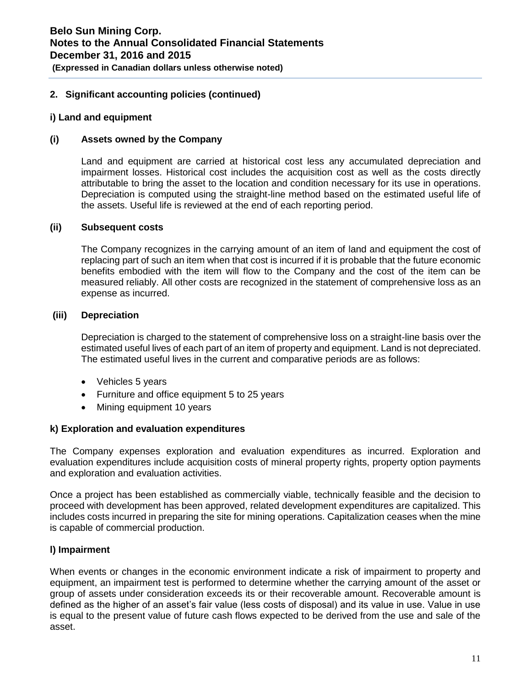#### **2. Significant accounting policies (continued)**

#### **i) Land and equipment**

#### **(i) Assets owned by the Company**

Land and equipment are carried at historical cost less any accumulated depreciation and impairment losses. Historical cost includes the acquisition cost as well as the costs directly attributable to bring the asset to the location and condition necessary for its use in operations. Depreciation is computed using the straight-line method based on the estimated useful life of the assets. Useful life is reviewed at the end of each reporting period.

#### **(ii) Subsequent costs**

The Company recognizes in the carrying amount of an item of land and equipment the cost of replacing part of such an item when that cost is incurred if it is probable that the future economic benefits embodied with the item will flow to the Company and the cost of the item can be measured reliably. All other costs are recognized in the statement of comprehensive loss as an expense as incurred.

#### **(iii) Depreciation**

Depreciation is charged to the statement of comprehensive loss on a straight-line basis over the estimated useful lives of each part of an item of property and equipment. Land is not depreciated. The estimated useful lives in the current and comparative periods are as follows:

- Vehicles 5 years
- Furniture and office equipment 5 to 25 years
- Mining equipment 10 years

#### **k) Exploration and evaluation expenditures**

The Company expenses exploration and evaluation expenditures as incurred. Exploration and evaluation expenditures include acquisition costs of mineral property rights, property option payments and exploration and evaluation activities.

Once a project has been established as commercially viable, technically feasible and the decision to proceed with development has been approved, related development expenditures are capitalized. This includes costs incurred in preparing the site for mining operations. Capitalization ceases when the mine is capable of commercial production.

#### **l) Impairment**

When events or changes in the economic environment indicate a risk of impairment to property and equipment, an impairment test is performed to determine whether the carrying amount of the asset or group of assets under consideration exceeds its or their recoverable amount. Recoverable amount is defined as the higher of an asset's fair value (less costs of disposal) and its value in use. Value in use is equal to the present value of future cash flows expected to be derived from the use and sale of the asset.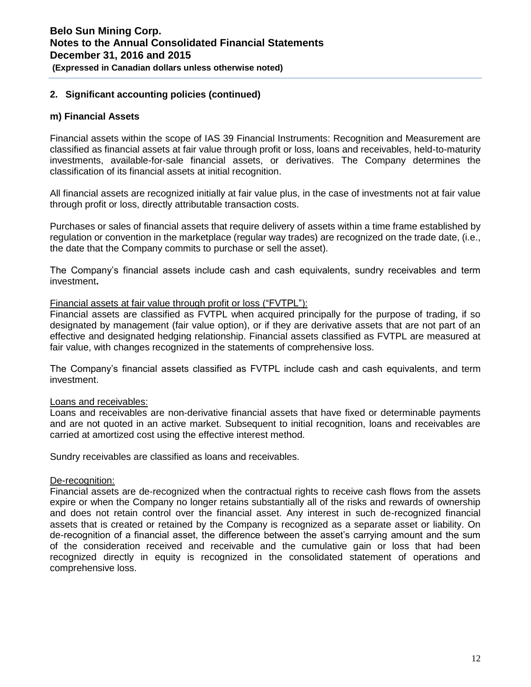#### **2. Significant accounting policies (continued)**

#### **m) Financial Assets**

Financial assets within the scope of IAS 39 Financial Instruments: Recognition and Measurement are classified as financial assets at fair value through profit or loss, loans and receivables, held-to-maturity investments, available-for-sale financial assets, or derivatives. The Company determines the classification of its financial assets at initial recognition.

All financial assets are recognized initially at fair value plus, in the case of investments not at fair value through profit or loss, directly attributable transaction costs.

Purchases or sales of financial assets that require delivery of assets within a time frame established by regulation or convention in the marketplace (regular way trades) are recognized on the trade date, (i.e., the date that the Company commits to purchase or sell the asset).

The Company's financial assets include cash and cash equivalents, sundry receivables and term investment**.** 

#### Financial assets at fair value through profit or loss ("FVTPL"):

Financial assets are classified as FVTPL when acquired principally for the purpose of trading, if so designated by management (fair value option), or if they are derivative assets that are not part of an effective and designated hedging relationship. Financial assets classified as FVTPL are measured at fair value, with changes recognized in the statements of comprehensive loss.

The Company's financial assets classified as FVTPL include cash and cash equivalents, and term investment.

#### Loans and receivables:

Loans and receivables are non-derivative financial assets that have fixed or determinable payments and are not quoted in an active market. Subsequent to initial recognition, loans and receivables are carried at amortized cost using the effective interest method.

Sundry receivables are classified as loans and receivables.

#### De-recognition:

Financial assets are de-recognized when the contractual rights to receive cash flows from the assets expire or when the Company no longer retains substantially all of the risks and rewards of ownership and does not retain control over the financial asset. Any interest in such de-recognized financial assets that is created or retained by the Company is recognized as a separate asset or liability. On de-recognition of a financial asset, the difference between the asset's carrying amount and the sum of the consideration received and receivable and the cumulative gain or loss that had been recognized directly in equity is recognized in the consolidated statement of operations and comprehensive loss.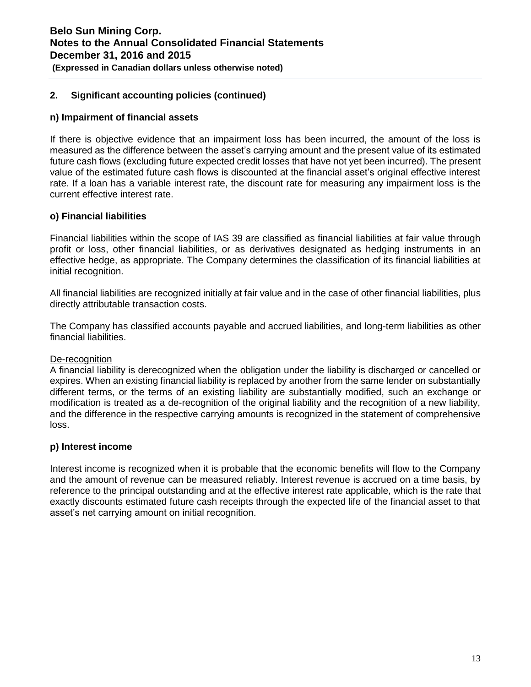#### **2. Significant accounting policies (continued)**

#### **n) Impairment of financial assets**

If there is objective evidence that an impairment loss has been incurred, the amount of the loss is measured as the difference between the asset's carrying amount and the present value of its estimated future cash flows (excluding future expected credit losses that have not yet been incurred). The present value of the estimated future cash flows is discounted at the financial asset's original effective interest rate. If a loan has a variable interest rate, the discount rate for measuring any impairment loss is the current effective interest rate.

#### **o) Financial liabilities**

Financial liabilities within the scope of IAS 39 are classified as financial liabilities at fair value through profit or loss, other financial liabilities, or as derivatives designated as hedging instruments in an effective hedge, as appropriate. The Company determines the classification of its financial liabilities at initial recognition.

All financial liabilities are recognized initially at fair value and in the case of other financial liabilities, plus directly attributable transaction costs.

The Company has classified accounts payable and accrued liabilities, and long-term liabilities as other financial liabilities.

#### De-recognition

A financial liability is derecognized when the obligation under the liability is discharged or cancelled or expires. When an existing financial liability is replaced by another from the same lender on substantially different terms, or the terms of an existing liability are substantially modified, such an exchange or modification is treated as a de-recognition of the original liability and the recognition of a new liability, and the difference in the respective carrying amounts is recognized in the statement of comprehensive loss.

#### **p) Interest income**

Interest income is recognized when it is probable that the economic benefits will flow to the Company and the amount of revenue can be measured reliably. Interest revenue is accrued on a time basis, by reference to the principal outstanding and at the effective interest rate applicable, which is the rate that exactly discounts estimated future cash receipts through the expected life of the financial asset to that asset's net carrying amount on initial recognition.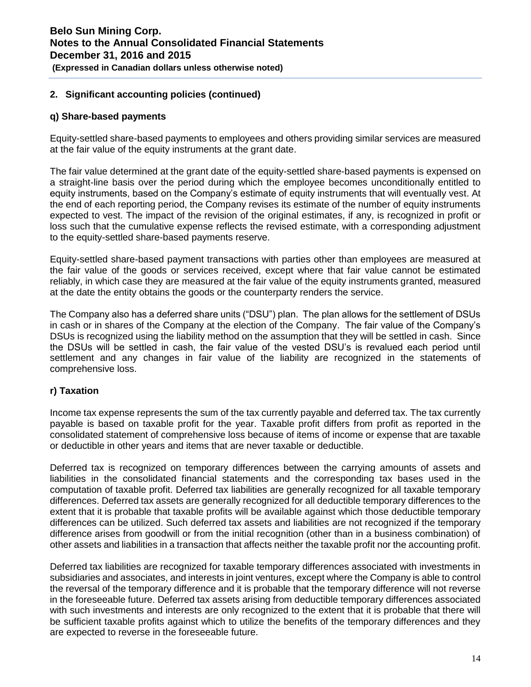#### **2. Significant accounting policies (continued)**

#### **q) Share-based payments**

Equity-settled share-based payments to employees and others providing similar services are measured at the fair value of the equity instruments at the grant date.

The fair value determined at the grant date of the equity-settled share-based payments is expensed on a straight-line basis over the period during which the employee becomes unconditionally entitled to equity instruments, based on the Company's estimate of equity instruments that will eventually vest. At the end of each reporting period, the Company revises its estimate of the number of equity instruments expected to vest. The impact of the revision of the original estimates, if any, is recognized in profit or loss such that the cumulative expense reflects the revised estimate, with a corresponding adjustment to the equity-settled share-based payments reserve.

Equity-settled share-based payment transactions with parties other than employees are measured at the fair value of the goods or services received, except where that fair value cannot be estimated reliably, in which case they are measured at the fair value of the equity instruments granted, measured at the date the entity obtains the goods or the counterparty renders the service.

The Company also has a deferred share units ("DSU") plan. The plan allows for the settlement of DSUs in cash or in shares of the Company at the election of the Company. The fair value of the Company's DSUs is recognized using the liability method on the assumption that they will be settled in cash. Since the DSUs will be settled in cash, the fair value of the vested DSU's is revalued each period until settlement and any changes in fair value of the liability are recognized in the statements of comprehensive loss.

#### **r) Taxation**

Income tax expense represents the sum of the tax currently payable and deferred tax. The tax currently payable is based on taxable profit for the year. Taxable profit differs from profit as reported in the consolidated statement of comprehensive loss because of items of income or expense that are taxable or deductible in other years and items that are never taxable or deductible.

Deferred tax is recognized on temporary differences between the carrying amounts of assets and liabilities in the consolidated financial statements and the corresponding tax bases used in the computation of taxable profit. Deferred tax liabilities are generally recognized for all taxable temporary differences. Deferred tax assets are generally recognized for all deductible temporary differences to the extent that it is probable that taxable profits will be available against which those deductible temporary differences can be utilized. Such deferred tax assets and liabilities are not recognized if the temporary difference arises from goodwill or from the initial recognition (other than in a business combination) of other assets and liabilities in a transaction that affects neither the taxable profit nor the accounting profit.

Deferred tax liabilities are recognized for taxable temporary differences associated with investments in subsidiaries and associates, and interests in joint ventures, except where the Company is able to control the reversal of the temporary difference and it is probable that the temporary difference will not reverse in the foreseeable future. Deferred tax assets arising from deductible temporary differences associated with such investments and interests are only recognized to the extent that it is probable that there will be sufficient taxable profits against which to utilize the benefits of the temporary differences and they are expected to reverse in the foreseeable future.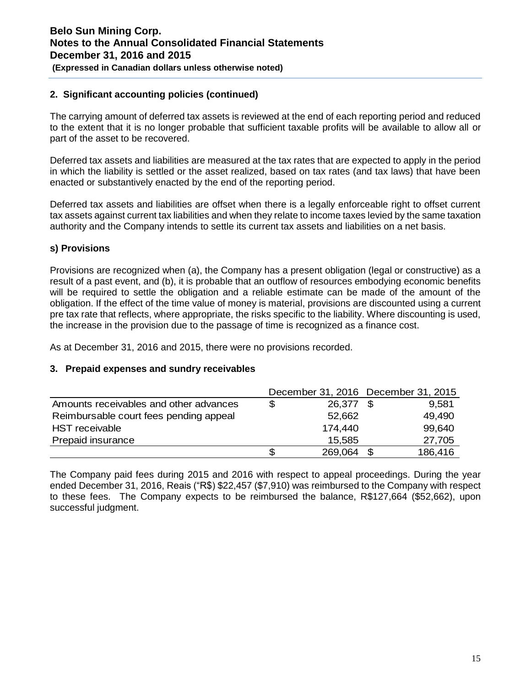#### **2. Significant accounting policies (continued)**

The carrying amount of deferred tax assets is reviewed at the end of each reporting period and reduced to the extent that it is no longer probable that sufficient taxable profits will be available to allow all or part of the asset to be recovered.

Deferred tax assets and liabilities are measured at the tax rates that are expected to apply in the period in which the liability is settled or the asset realized, based on tax rates (and tax laws) that have been enacted or substantively enacted by the end of the reporting period.

Deferred tax assets and liabilities are offset when there is a legally enforceable right to offset current tax assets against current tax liabilities and when they relate to income taxes levied by the same taxation authority and the Company intends to settle its current tax assets and liabilities on a net basis.

#### **s) Provisions**

Provisions are recognized when (a), the Company has a present obligation (legal or constructive) as a result of a past event, and (b), it is probable that an outflow of resources embodying economic benefits will be required to settle the obligation and a reliable estimate can be made of the amount of the obligation. If the effect of the time value of money is material, provisions are discounted using a current pre tax rate that reflects, where appropriate, the risks specific to the liability. Where discounting is used, the increase in the provision due to the passage of time is recognized as a finance cost.

As at December 31, 2016 and 2015, there were no provisions recorded.

#### **3. Prepaid expenses and sundry receivables**

|                                        | December 31, 2016 December 31, 2015 |           |         |
|----------------------------------------|-------------------------------------|-----------|---------|
| Amounts receivables and other advances | \$                                  | 26,377 \$ | 9,581   |
| Reimbursable court fees pending appeal |                                     | 52,662    | 49,490  |
| <b>HST</b> receivable                  |                                     | 174.440   | 99,640  |
| Prepaid insurance                      |                                     | 15,585    | 27,705  |
|                                        | S                                   | 269,064   | 186,416 |

The Company paid fees during 2015 and 2016 with respect to appeal proceedings. During the year ended December 31, 2016, Reais ("R\$) \$22,457 (\$7,910) was reimbursed to the Company with respect to these fees. The Company expects to be reimbursed the balance, R\$127,664 (\$52,662), upon successful judgment.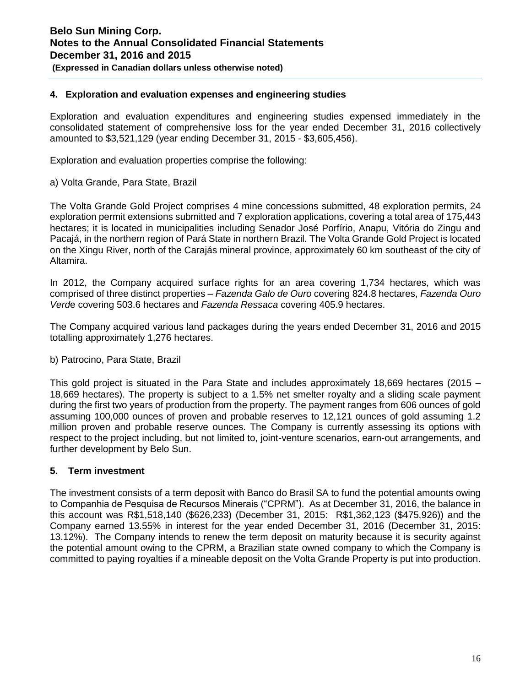#### **4. Exploration and evaluation expenses and engineering studies**

Exploration and evaluation expenditures and engineering studies expensed immediately in the consolidated statement of comprehensive loss for the year ended December 31, 2016 collectively amounted to \$3,521,129 (year ending December 31, 2015 - \$3,605,456).

Exploration and evaluation properties comprise the following:

a) Volta Grande, Para State, Brazil

The Volta Grande Gold Project comprises 4 mine concessions submitted, 48 exploration permits, 24 exploration permit extensions submitted and 7 exploration applications, covering a total area of 175,443 hectares; it is located in municipalities including Senador José Porfírio, Anapu, Vitória do Zingu and Pacajá, in the northern region of Pará State in northern Brazil. The Volta Grande Gold Project is located on the Xingu River, north of the Carajás mineral province, approximately 60 km southeast of the city of Altamira.

In 2012, the Company acquired surface rights for an area covering 1,734 hectares, which was comprised of three distinct properties – *Fazenda Galo de Ouro* covering 824.8 hectares, *Fazenda Ouro Verd*e covering 503.6 hectares and *Fazenda Ressaca* covering 405.9 hectares.

The Company acquired various land packages during the years ended December 31, 2016 and 2015 totalling approximately 1,276 hectares.

#### b) Patrocino, Para State, Brazil

This gold project is situated in the Para State and includes approximately 18,669 hectares (2015 – 18,669 hectares). The property is subject to a 1.5% net smelter royalty and a sliding scale payment during the first two years of production from the property. The payment ranges from 606 ounces of gold assuming 100,000 ounces of proven and probable reserves to 12,121 ounces of gold assuming 1.2 million proven and probable reserve ounces. The Company is currently assessing its options with respect to the project including, but not limited to, joint-venture scenarios, earn-out arrangements, and further development by Belo Sun.

#### **5. Term investment**

The investment consists of a term deposit with Banco do Brasil SA to fund the potential amounts owing to Companhia de Pesquisa de Recursos Minerais ("CPRM"). As at December 31, 2016, the balance in this account was R\$1,518,140 (\$626,233) (December 31, 2015: R\$1,362,123 (\$475,926)) and the Company earned 13.55% in interest for the year ended December 31, 2016 (December 31, 2015: 13.12%). The Company intends to renew the term deposit on maturity because it is security against the potential amount owing to the CPRM, a Brazilian state owned company to which the Company is committed to paying royalties if a mineable deposit on the Volta Grande Property is put into production.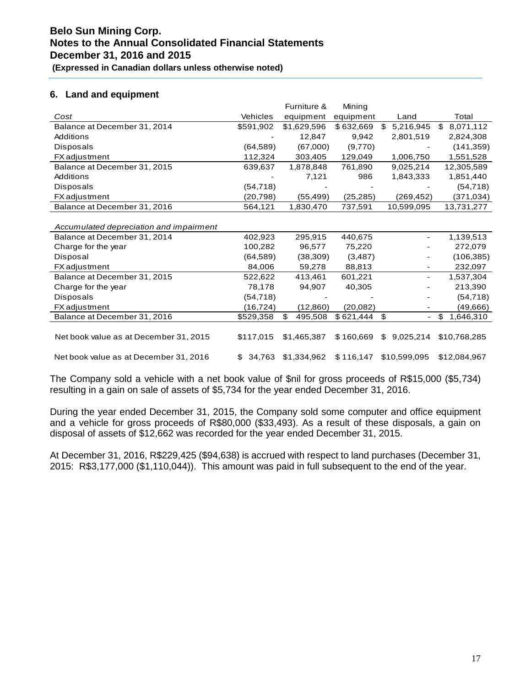# **Belo Sun Mining Corp. Notes to the Annual Consolidated Financial Statements December 31, 2016 and 2015**

**(Expressed in Canadian dollars unless otherwise noted)** 

#### **6. Land and equipment**

|                              |           | Furniture & | Mining    |                |                 |
|------------------------------|-----------|-------------|-----------|----------------|-----------------|
| Cost                         | Vehicles  | equipment   | equipment | Land           | Total           |
| Balance at December 31, 2014 | \$591,902 | \$1,629,596 | \$632,669 | 5,216,945<br>S | 8,071,112<br>S. |
| Additions                    |           | 12,847      | 9,942     | 2,801,519      | 2,824,308       |
| Disposals                    | (64, 589) | (67,000)    | (9,770)   |                | (141, 359)      |
| <b>FX</b> adjustment         | 112,324   | 303,405     | 129,049   | 1,006,750      | 1,551,528       |
| Balance at December 31, 2015 | 639,637   | 1,878,848   | 761,890   | 9,025,214      | 12,305,589      |
| Additions                    |           | 7.121       | 986       | 1,843,333      | 1,851,440       |
| Disposals                    | (54, 718) |             |           |                | (54, 718)       |
| <b>FX</b> adjustment         | (20, 798) | (55, 499)   | (25, 285) | (269, 452)     | (371, 034)      |
| Balance at December 31, 2016 | 564,121   | 1,830,470   | 737,591   | 10,599,095     | 13,731,277      |
|                              |           |             |           |                |                 |

*Accumulated depreciation and impairment*

| Balance at December 31, 2014           | 402.923   | 295.915     | 440.675       |                 | 1,139,513        |
|----------------------------------------|-----------|-------------|---------------|-----------------|------------------|
| Charge for the year                    | 100,282   | 96,577      | 75,220        |                 | 272,079          |
| Disposal                               | (64, 589) | (38, 309)   | (3,487)       |                 | (106, 385)       |
| <b>FX</b> adjustment                   | 84,006    | 59,278      | 88,813        |                 | 232,097          |
| Balance at December 31, 2015           | 522.622   | 413.461     | 601.221       |                 | 1,537,304        |
| Charge for the year                    | 78.178    | 94.907      | 40,305        |                 | 213,390          |
| Disposals                              | (54, 718) |             |               |                 | (54, 718)        |
| <b>FX</b> adjustment                   | (16, 724) | (12,860)    | (20,082)      |                 | (49,666)         |
| Balance at December 31, 2016           | \$529.358 | 495.508     | $$621.444$ \$ |                 | 1,646,310<br>\$. |
|                                        |           |             |               |                 |                  |
| Net book value as at December 31, 2015 | \$117.015 | \$1,465,387 | \$160.669     | \$<br>9.025.214 | \$10.768.285     |
|                                        |           |             |               |                 |                  |
| Net book value as at December 31, 2016 | \$34.763  | \$1,334.962 | \$116,147     | \$10,599,095    | \$12.084.967     |

The Company sold a vehicle with a net book value of \$nil for gross proceeds of R\$15,000 (\$5,734) resulting in a gain on sale of assets of \$5,734 for the year ended December 31, 2016.

During the year ended December 31, 2015, the Company sold some computer and office equipment and a vehicle for gross proceeds of R\$80,000 (\$33,493). As a result of these disposals, a gain on disposal of assets of \$12,662 was recorded for the year ended December 31, 2015.

At December 31, 2016, R\$229,425 (\$94,638) is accrued with respect to land purchases (December 31, 2015: R\$3,177,000 (\$1,110,044)). This amount was paid in full subsequent to the end of the year.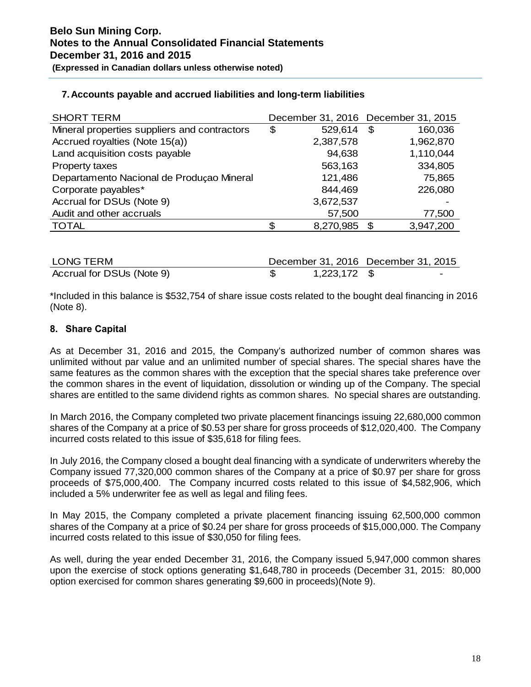#### **7.Accounts payable and accrued liabilities and long-term liabilities**

| <b>SHORT TERM</b>                            |                    | December 31, 2016 December 31, 2015 |  |  |
|----------------------------------------------|--------------------|-------------------------------------|--|--|
| Mineral properties suppliers and contractors | \$<br>529,614      | \$<br>160,036                       |  |  |
| Accrued royalties (Note 15(a))               | 2,387,578          | 1,962,870                           |  |  |
| Land acquisition costs payable               | 94,638             | 1,110,044                           |  |  |
| Property taxes                               | 563,163            | 334,805                             |  |  |
| Departamento Nacional de Produçao Mineral    | 121,486            | 75,865                              |  |  |
| Corporate payables*                          | 844,469            | 226,080                             |  |  |
| Accrual for DSUs (Note 9)                    | 3,672,537          |                                     |  |  |
| Audit and other accruals                     | 57,500             | 77,500                              |  |  |
| <b>TOTAL</b>                                 | \$<br>8,270,985 \$ | 3,947,200                           |  |  |

| LONG TERM                 |              | December 31, 2016 December 31, 2015 |   |
|---------------------------|--------------|-------------------------------------|---|
| Accrual for DSUs (Note 9) | 1,223,172 \$ |                                     | - |

\*Included in this balance is \$532,754 of share issue costs related to the bought deal financing in 2016 (Note 8).

#### **8. Share Capital**

As at December 31, 2016 and 2015, the Company's authorized number of common shares was unlimited without par value and an unlimited number of special shares. The special shares have the same features as the common shares with the exception that the special shares take preference over the common shares in the event of liquidation, dissolution or winding up of the Company. The special shares are entitled to the same dividend rights as common shares. No special shares are outstanding.

In March 2016, the Company completed two private placement financings issuing 22,680,000 common shares of the Company at a price of \$0.53 per share for gross proceeds of \$12,020,400. The Company incurred costs related to this issue of \$35,618 for filing fees.

In July 2016, the Company closed a bought deal financing with a syndicate of underwriters whereby the Company issued 77,320,000 common shares of the Company at a price of \$0.97 per share for gross proceeds of \$75,000,400. The Company incurred costs related to this issue of \$4,582,906, which included a 5% underwriter fee as well as legal and filing fees.

In May 2015, the Company completed a private placement financing issuing 62,500,000 common shares of the Company at a price of \$0.24 per share for gross proceeds of \$15,000,000. The Company incurred costs related to this issue of \$30,050 for filing fees.

As well, during the year ended December 31, 2016, the Company issued 5,947,000 common shares upon the exercise of stock options generating \$1,648,780 in proceeds (December 31, 2015: 80,000 option exercised for common shares generating \$9,600 in proceeds)(Note 9).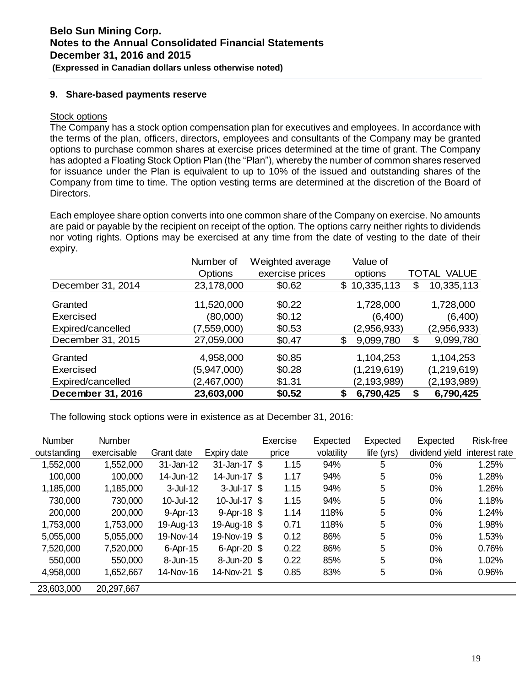#### **9. Share-based payments reserve**

#### Stock options

The Company has a stock option compensation plan for executives and employees. In accordance with the terms of the plan, officers, directors, employees and consultants of the Company may be granted options to purchase common shares at exercise prices determined at the time of grant. The Company has adopted a Floating Stock Option Plan (the "Plan"), whereby the number of common shares reserved for issuance under the Plan is equivalent to up to 10% of the issued and outstanding shares of the Company from time to time. The option vesting terms are determined at the discretion of the Board of Directors.

Each employee share option converts into one common share of the Company on exercise. No amounts are paid or payable by the recipient on receipt of the option. The options carry neither rights to dividends nor voting rights. Options may be exercised at any time from the date of vesting to the date of their expiry.

|                   | Number of   | Weighted average |    | Value of    |                       |
|-------------------|-------------|------------------|----|-------------|-----------------------|
|                   | Options     | exercise prices  |    | options     | <b>VALUE</b><br>TOTAL |
| December 31, 2014 | 23,178,000  | \$0.62           | \$ | 10,335,113  | \$<br>10,335,113      |
| Granted           | 11,520,000  | \$0.22           |    | 1,728,000   | 1,728,000             |
| Exercised         | (80,000)    | \$0.12           |    | (6,400)     | (6,400)               |
| Expired/cancelled | (7,559,000) | \$0.53           |    | (2,956,933) | (2,956,933)           |
| December 31, 2015 | 27,059,000  | \$0.47           | \$ | 9,099,780   | \$<br>9,099,780       |
| Granted           | 4,958,000   | \$0.85           |    | 1,104,253   | 1,104,253             |
| Exercised         | (5,947,000) | \$0.28           |    | (1,219,619) | (1,219,619)           |
| Expired/cancelled | (2,467,000) | \$1.31           |    | (2,193,989) | (2,193,989)           |
| December 31, 2016 | 23,603,000  | \$0.52           | 5  | 6,790,425   | \$<br>6,790,425       |

The following stock options were in existence as at December 31, 2016:

| Number      | <b>Number</b> |             |                 | Exercise | Expected   | Expected   | Expected       | <b>Risk-free</b> |
|-------------|---------------|-------------|-----------------|----------|------------|------------|----------------|------------------|
| outstanding | exercisable   | Grant date  | Expiry date     | price    | volatility | life (yrs) | dividend yield | interest rate    |
| 1,552,000   | 1,552,000     | 31-Jan-12   | 31-Jan-17 \$    | 1.15     | 94%        | 5          | 0%             | 1.25%            |
| 100,000     | 100,000       | 14-Jun-12   | 14-Jun-17 \$    | 1.17     | 94%        | 5          | $0\%$          | 1.28%            |
| 1,185,000   | 1,185,000     | $3$ -Jul-12 | $3$ -Jul-17 $$$ | 1.15     | 94%        | 5          | $0\%$          | 1.26%            |
| 730,000     | 730,000       | 10-Jul-12   | 10-Jul-17 \$    | 1.15     | 94%        | 5          | $0\%$          | 1.18%            |
| 200,000     | 200,000       | 9-Apr-13    | 9-Apr-18 \$     | 1.14     | 118%       | 5          | $0\%$          | 1.24%            |
| 1,753,000   | 1,753,000     | 19-Aug-13   | 19-Aug-18 \$    | 0.71     | 118%       | 5          | $0\%$          | 1.98%            |
| 5,055,000   | 5,055,000     | 19-Nov-14   | 19-Nov-19 \$    | 0.12     | 86%        | 5          | $0\%$          | 1.53%            |
| 7,520,000   | 7,520,000     | $6$ -Apr-15 | 6-Apr-20 \$     | 0.22     | 86%        | 5          | $0\%$          | 0.76%            |
| 550,000     | 550,000       | 8-Jun-15    | 8-Jun-20 \$     | 0.22     | 85%        | 5          | $0\%$          | 1.02%            |
| 4,958,000   | 1,652,667     | 14-Nov-16   | 14-Nov-21 \$    | 0.85     | 83%        | 5          | $0\%$          | 0.96%            |
| 23,603,000  | 20,297,667    |             |                 |          |            |            |                |                  |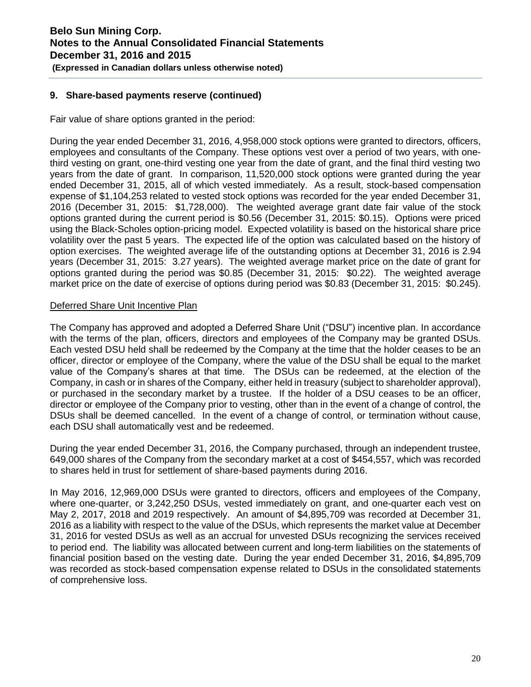#### **9. Share-based payments reserve (continued)**

Fair value of share options granted in the period:

During the year ended December 31, 2016, 4,958,000 stock options were granted to directors, officers, employees and consultants of the Company. These options vest over a period of two years, with onethird vesting on grant, one-third vesting one year from the date of grant, and the final third vesting two years from the date of grant. In comparison, 11,520,000 stock options were granted during the year ended December 31, 2015, all of which vested immediately. As a result, stock-based compensation expense of \$1,104,253 related to vested stock options was recorded for the year ended December 31, 2016 (December 31, 2015: \$1,728,000). The weighted average grant date fair value of the stock options granted during the current period is \$0.56 (December 31, 2015: \$0.15). Options were priced using the Black-Scholes option-pricing model. Expected volatility is based on the historical share price volatility over the past 5 years. The expected life of the option was calculated based on the history of option exercises. The weighted average life of the outstanding options at December 31, 2016 is 2.94 years (December 31, 2015: 3.27 years). The weighted average market price on the date of grant for options granted during the period was \$0.85 (December 31, 2015: \$0.22). The weighted average market price on the date of exercise of options during period was \$0.83 (December 31, 2015: \$0.245).

#### Deferred Share Unit Incentive Plan

The Company has approved and adopted a Deferred Share Unit ("DSU") incentive plan. In accordance with the terms of the plan, officers, directors and employees of the Company may be granted DSUs. Each vested DSU held shall be redeemed by the Company at the time that the holder ceases to be an officer, director or employee of the Company, where the value of the DSU shall be equal to the market value of the Company's shares at that time. The DSUs can be redeemed, at the election of the Company, in cash or in shares of the Company, either held in treasury (subject to shareholder approval), or purchased in the secondary market by a trustee. If the holder of a DSU ceases to be an officer, director or employee of the Company prior to vesting, other than in the event of a change of control, the DSUs shall be deemed cancelled. In the event of a change of control, or termination without cause, each DSU shall automatically vest and be redeemed.

During the year ended December 31, 2016, the Company purchased, through an independent trustee, 649,000 shares of the Company from the secondary market at a cost of \$454,557, which was recorded to shares held in trust for settlement of share-based payments during 2016.

In May 2016, 12,969,000 DSUs were granted to directors, officers and employees of the Company, where one-quarter, or 3,242,250 DSUs, vested immediately on grant, and one-quarter each vest on May 2, 2017, 2018 and 2019 respectively. An amount of \$4,895,709 was recorded at December 31, 2016 as a liability with respect to the value of the DSUs, which represents the market value at December 31, 2016 for vested DSUs as well as an accrual for unvested DSUs recognizing the services received to period end. The liability was allocated between current and long-term liabilities on the statements of financial position based on the vesting date. During the year ended December 31, 2016, \$4,895,709 was recorded as stock-based compensation expense related to DSUs in the consolidated statements of comprehensive loss.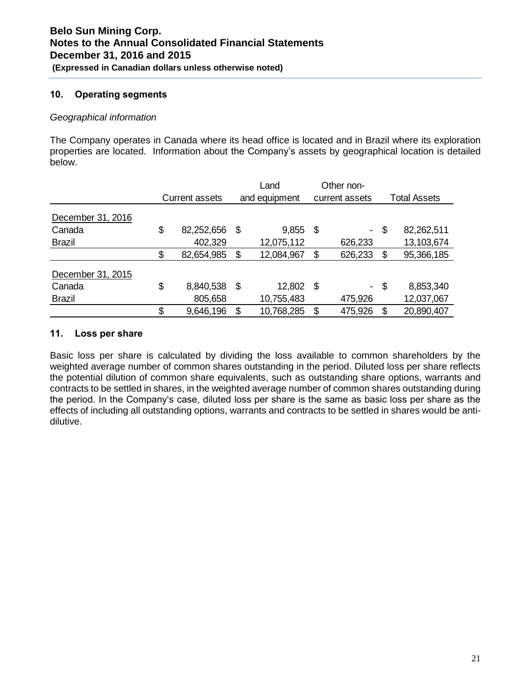#### **10. Operating segments**

#### *Geographical information*

The Company operates in Canada where its head office is located and in Brazil where its exploration properties are located. Information about the Company's assets by geographical location is detailed below.

|                   |                       | Land |               | Other non- |                |    |                     |  |
|-------------------|-----------------------|------|---------------|------------|----------------|----|---------------------|--|
|                   | <b>Current assets</b> |      | and equipment |            | current assets |    | <b>Total Assets</b> |  |
| December 31, 2016 |                       |      |               |            |                |    |                     |  |
| Canada            | \$<br>82,252,656      | \$   | 9,855         | \$         | $\sim$         | \$ | 82,262,511          |  |
| <b>Brazil</b>     | 402,329               |      | 12,075,112    |            | 626,233        |    | 13,103,674          |  |
|                   | \$<br>82,654,985      | \$   | 12,084,967    | \$         | 626,233        | \$ | 95,366,185          |  |
| December 31, 2015 |                       |      |               |            |                |    |                     |  |
| Canada            | \$<br>8,840,538       | \$   | 12,802        | \$         | $\sim$         | \$ | 8,853,340           |  |
| <b>Brazil</b>     | 805,658               |      | 10,755,483    |            | 475,926        |    | 12,037,067          |  |
|                   | \$<br>9,646,196       | \$   | 10,768,285    | \$         | 475,926        | \$ | 20,890,407          |  |

#### **11. Loss per share**

Basic loss per share is calculated by dividing the loss available to common shareholders by the weighted average number of common shares outstanding in the period. Diluted loss per share reflects the potential dilution of common share equivalents, such as outstanding share options, warrants and contracts to be settled in shares, in the weighted average number of common shares outstanding during the period. In the Company's case, diluted loss per share is the same as basic loss per share as the effects of including all outstanding options, warrants and contracts to be settled in shares would be antidilutive.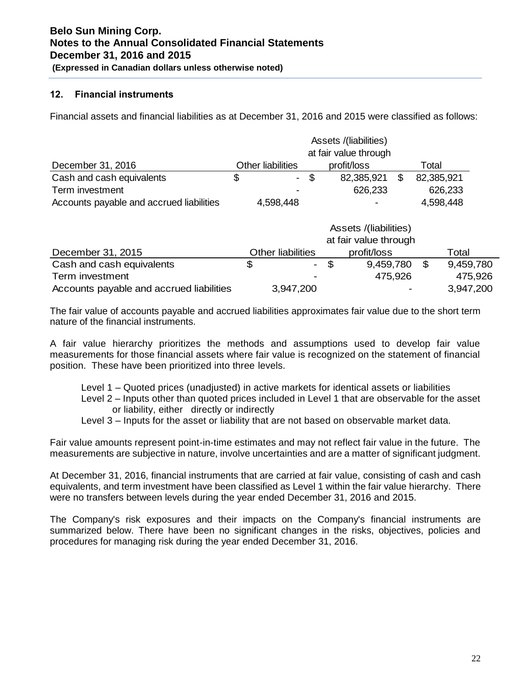#### **12. Financial instruments**

Financial assets and financial liabilities as at December 31, 2016 and 2015 were classified as follows:

|                                          | Assets /(liabilities) |      |             |     |            |
|------------------------------------------|-----------------------|------|-------------|-----|------------|
|                                          | at fair value through |      |             |     |            |
| December 31, 2016                        | Other liabilities     |      | profit/loss |     | Total      |
| Cash and cash equivalents                |                       | - \$ | 82,385,921  | \$. | 82,385,921 |
| Term investment                          | -                     |      | 626,233     |     | 626,233    |
| Accounts payable and accrued liabilities | 4,598,448             |      |             |     | 4,598,448  |

|                                          | Assets /(liabilities) |                          |      |             |  |           |
|------------------------------------------|-----------------------|--------------------------|------|-------------|--|-----------|
|                                          | at fair value through |                          |      |             |  |           |
| December 31, 2015                        | Other liabilities     |                          |      | profit/loss |  | Total     |
| Cash and cash equivalents                |                       |                          | - \$ | 9,459,780   |  | 9,459,780 |
| Term investment                          |                       | $\overline{\phantom{0}}$ |      | 475,926     |  | 475,926   |
| Accounts payable and accrued liabilities |                       | 3,947,200                |      |             |  | 3,947,200 |

The fair value of accounts payable and accrued liabilities approximates fair value due to the short term nature of the financial instruments.

A fair value hierarchy prioritizes the methods and assumptions used to develop fair value measurements for those financial assets where fair value is recognized on the statement of financial position. These have been prioritized into three levels.

Level 1 – Quoted prices (unadjusted) in active markets for identical assets or liabilities

Level 2 – Inputs other than quoted prices included in Level 1 that are observable for the asset or liability, either directly or indirectly

Level 3 – Inputs for the asset or liability that are not based on observable market data.

Fair value amounts represent point-in-time estimates and may not reflect fair value in the future. The measurements are subjective in nature, involve uncertainties and are a matter of significant judgment.

At December 31, 2016, financial instruments that are carried at fair value, consisting of cash and cash equivalents, and term investment have been classified as Level 1 within the fair value hierarchy. There were no transfers between levels during the year ended December 31, 2016 and 2015.

The Company's risk exposures and their impacts on the Company's financial instruments are summarized below. There have been no significant changes in the risks, objectives, policies and procedures for managing risk during the year ended December 31, 2016.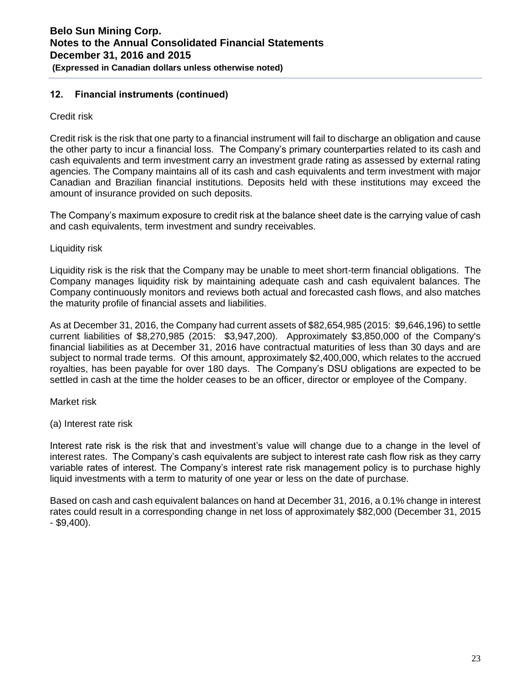## **12. Financial instruments (continued)**

#### Credit risk

Credit risk is the risk that one party to a financial instrument will fail to discharge an obligation and cause the other party to incur a financial loss. The Company's primary counterparties related to its cash and cash equivalents and term investment carry an investment grade rating as assessed by external rating agencies. The Company maintains all of its cash and cash equivalents and term investment with major Canadian and Brazilian financial institutions. Deposits held with these institutions may exceed the amount of insurance provided on such deposits.

The Company's maximum exposure to credit risk at the balance sheet date is the carrying value of cash and cash equivalents, term investment and sundry receivables.

Liquidity risk

Liquidity risk is the risk that the Company may be unable to meet short-term financial obligations. The Company manages liquidity risk by maintaining adequate cash and cash equivalent balances. The Company continuously monitors and reviews both actual and forecasted cash flows, and also matches the maturity profile of financial assets and liabilities.

As at December 31, 2016, the Company had current assets of \$82,654,985 (2015: \$9,646,196) to settle current liabilities of \$8,270,985 (2015: \$3,947,200). Approximately \$3,850,000 of the Company's financial liabilities as at December 31, 2016 have contractual maturities of less than 30 days and are subject to normal trade terms. Of this amount, approximately \$2,400,000, which relates to the accrued royalties, has been payable for over 180 days. The Company's DSU obligations are expected to be settled in cash at the time the holder ceases to be an officer, director or employee of the Company.

#### Market risk

#### (a) Interest rate risk

Interest rate risk is the risk that and investment's value will change due to a change in the level of interest rates. The Company's cash equivalents are subject to interest rate cash flow risk as they carry variable rates of interest. The Company's interest rate risk management policy is to purchase highly liquid investments with a term to maturity of one year or less on the date of purchase.

Based on cash and cash equivalent balances on hand at December 31, 2016, a 0.1% change in interest rates could result in a corresponding change in net loss of approximately \$82,000 (December 31, 2015 - \$9,400).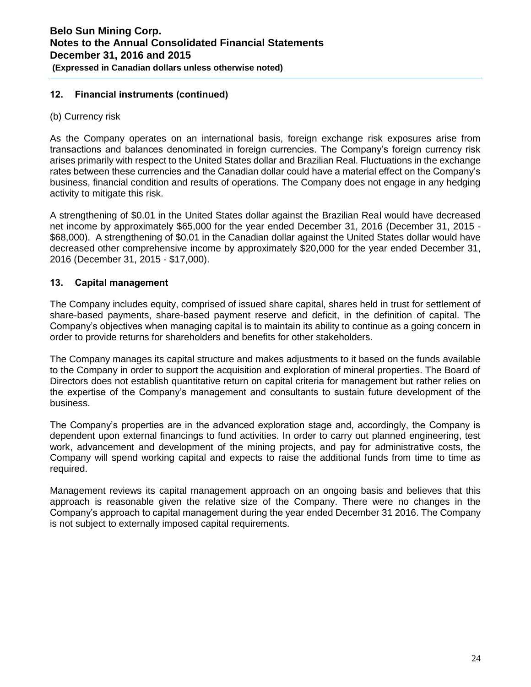## **12. Financial instruments (continued)**

(b) Currency risk

As the Company operates on an international basis, foreign exchange risk exposures arise from transactions and balances denominated in foreign currencies. The Company's foreign currency risk arises primarily with respect to the United States dollar and Brazilian Real. Fluctuations in the exchange rates between these currencies and the Canadian dollar could have a material effect on the Company's business, financial condition and results of operations. The Company does not engage in any hedging activity to mitigate this risk.

A strengthening of \$0.01 in the United States dollar against the Brazilian Real would have decreased net income by approximately \$65,000 for the year ended December 31, 2016 (December 31, 2015 - \$68,000). A strengthening of \$0.01 in the Canadian dollar against the United States dollar would have decreased other comprehensive income by approximately \$20,000 for the year ended December 31, 2016 (December 31, 2015 - \$17,000).

## **13. Capital management**

The Company includes equity, comprised of issued share capital, shares held in trust for settlement of share-based payments, share-based payment reserve and deficit, in the definition of capital. The Company's objectives when managing capital is to maintain its ability to continue as a going concern in order to provide returns for shareholders and benefits for other stakeholders.

The Company manages its capital structure and makes adjustments to it based on the funds available to the Company in order to support the acquisition and exploration of mineral properties. The Board of Directors does not establish quantitative return on capital criteria for management but rather relies on the expertise of the Company's management and consultants to sustain future development of the business.

The Company's properties are in the advanced exploration stage and, accordingly, the Company is dependent upon external financings to fund activities. In order to carry out planned engineering, test work, advancement and development of the mining projects, and pay for administrative costs, the Company will spend working capital and expects to raise the additional funds from time to time as required.

Management reviews its capital management approach on an ongoing basis and believes that this approach is reasonable given the relative size of the Company. There were no changes in the Company's approach to capital management during the year ended December 31 2016. The Company is not subject to externally imposed capital requirements.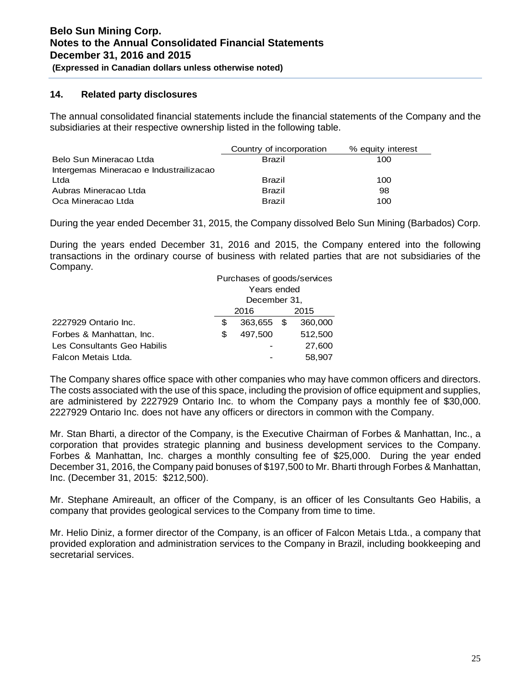#### **14. Related party disclosures**

The annual consolidated financial statements include the financial statements of the Company and the subsidiaries at their respective ownership listed in the following table.

|                                         | Country of incorporation | % equity interest |
|-----------------------------------------|--------------------------|-------------------|
| Belo Sun Mineracao Ltda                 | <b>Brazil</b>            | 100               |
| Intergemas Mineracao e Industrailizacao |                          |                   |
| Ltda                                    | <b>Brazil</b>            | 100               |
| Aubras Mineracao Ltda                   | <b>Brazil</b>            | 98                |
| Oca Mineracao Ltda                      | <b>Brazil</b>            | 100               |

During the year ended December 31, 2015, the Company dissolved Belo Sun Mining (Barbados) Corp.

During the years ended December 31, 2016 and 2015, the Company entered into the following transactions in the ordinary course of business with related parties that are not subsidiaries of the Company.

|                             |              | Purchases of goods/services |  |         |
|-----------------------------|--------------|-----------------------------|--|---------|
|                             |              | Years ended                 |  |         |
|                             |              | December 31,                |  |         |
|                             | 2016<br>2015 |                             |  |         |
| 2227929 Ontario Inc.        | S            | 363,655 \$                  |  | 360,000 |
| Forbes & Manhattan, Inc.    | S            | 497.500                     |  | 512,500 |
| Les Consultants Geo Habilis |              |                             |  | 27,600  |
| Falcon Metais Ltda.         |              |                             |  | 58,907  |

The Company shares office space with other companies who may have common officers and directors. The costs associated with the use of this space, including the provision of office equipment and supplies, are administered by 2227929 Ontario Inc. to whom the Company pays a monthly fee of \$30,000. 2227929 Ontario Inc. does not have any officers or directors in common with the Company.

Mr. Stan Bharti, a director of the Company, is the Executive Chairman of Forbes & Manhattan, Inc., a corporation that provides strategic planning and business development services to the Company. Forbes & Manhattan, Inc. charges a monthly consulting fee of \$25,000. During the year ended December 31, 2016, the Company paid bonuses of \$197,500 to Mr. Bharti through Forbes & Manhattan, Inc. (December 31, 2015: \$212,500).

Mr. Stephane Amireault, an officer of the Company, is an officer of les Consultants Geo Habilis, a company that provides geological services to the Company from time to time.

Mr. Helio Diniz, a former director of the Company, is an officer of Falcon Metais Ltda., a company that provided exploration and administration services to the Company in Brazil, including bookkeeping and secretarial services.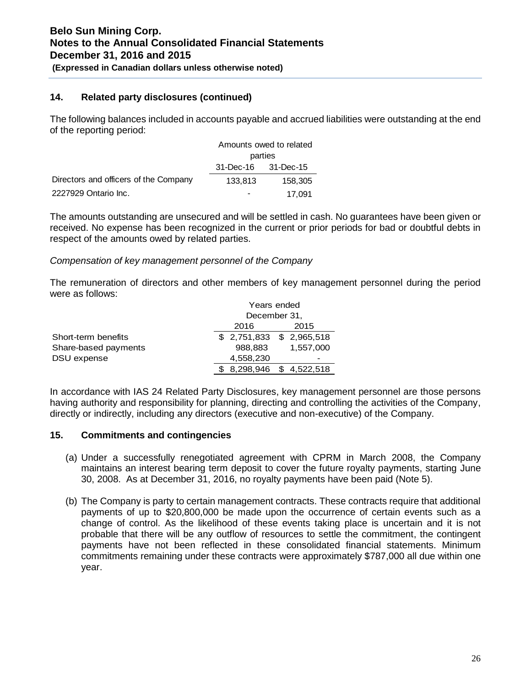#### **14. Related party disclosures (continued)**

The following balances included in accounts payable and accrued liabilities were outstanding at the end of the reporting period:

|                                       | Amounts owed to related |         |  |  |
|---------------------------------------|-------------------------|---------|--|--|
|                                       | parties                 |         |  |  |
|                                       | 31-Dec-16 31-Dec-15     |         |  |  |
| Directors and officers of the Company | 133.813                 | 158.305 |  |  |
| 2227929 Ontario Inc.                  |                         | 17.091  |  |  |

The amounts outstanding are unsecured and will be settled in cash. No guarantees have been given or received. No expense has been recognized in the current or prior periods for bad or doubtful debts in respect of the amounts owed by related parties.

#### *Compensation of key management personnel of the Company*

The remuneration of directors and other members of key management personnel during the period were as follows:

|                      | Years ended  |                           |  |                          |
|----------------------|--------------|---------------------------|--|--------------------------|
|                      | December 31, |                           |  |                          |
|                      | 2016<br>2015 |                           |  |                          |
| Short-term benefits  |              | $$2,751,833$ $$2,965,518$ |  |                          |
| Share-based payments |              | 988,883                   |  | 1,557,000                |
| DSU expense          |              | 4,558,230                 |  | $\overline{\phantom{0}}$ |
|                      |              | \$ 8,298,946              |  | 4,522,518                |

In accordance with IAS 24 Related Party Disclosures, key management personnel are those persons having authority and responsibility for planning, directing and controlling the activities of the Company, directly or indirectly, including any directors (executive and non-executive) of the Company.

#### **15. Commitments and contingencies**

- (a) Under a successfully renegotiated agreement with CPRM in March 2008, the Company maintains an interest bearing term deposit to cover the future royalty payments, starting June 30, 2008. As at December 31, 2016, no royalty payments have been paid (Note 5).
- (b) The Company is party to certain management contracts. These contracts require that additional payments of up to \$20,800,000 be made upon the occurrence of certain events such as a change of control. As the likelihood of these events taking place is uncertain and it is not probable that there will be any outflow of resources to settle the commitment, the contingent payments have not been reflected in these consolidated financial statements. Minimum commitments remaining under these contracts were approximately \$787,000 all due within one year.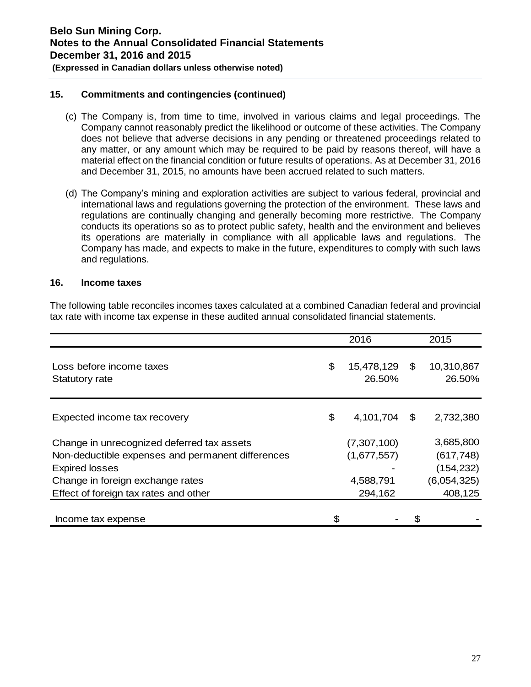#### **15. Commitments and contingencies (continued)**

- (c) The Company is, from time to time, involved in various claims and legal proceedings. The Company cannot reasonably predict the likelihood or outcome of these activities. The Company does not believe that adverse decisions in any pending or threatened proceedings related to any matter, or any amount which may be required to be paid by reasons thereof, will have a material effect on the financial condition or future results of operations. As at December 31, 2016 and December 31, 2015, no amounts have been accrued related to such matters.
- (d) The Company's mining and exploration activities are subject to various federal, provincial and international laws and regulations governing the protection of the environment. These laws and regulations are continually changing and generally becoming more restrictive. The Company conducts its operations so as to protect public safety, health and the environment and believes its operations are materially in compliance with all applicable laws and regulations. The Company has made, and expects to make in the future, expenditures to comply with such laws and regulations.

#### **16. Income taxes**

The following table reconciles incomes taxes calculated at a combined Canadian federal and provincial tax rate with income tax expense in these audited annual consolidated financial statements.

|                                                                            | 2016                       | 2015                       |
|----------------------------------------------------------------------------|----------------------------|----------------------------|
| Loss before income taxes<br>Statutory rate                                 | \$<br>15,478,129<br>26.50% | \$<br>10,310,867<br>26.50% |
| Expected income tax recovery                                               | \$<br>4,101,704            | \$<br>2,732,380            |
| Change in unrecognized deferred tax assets                                 | (7,307,100)                | 3,685,800                  |
| Non-deductible expenses and permanent differences<br><b>Expired losses</b> | (1,677,557)                | (617, 748)<br>(154, 232)   |
| Change in foreign exchange rates                                           | 4,588,791                  | (6,054,325)                |
| Effect of foreign tax rates and other                                      | 294,162                    | 408,125                    |
| Income tax expense                                                         |                            |                            |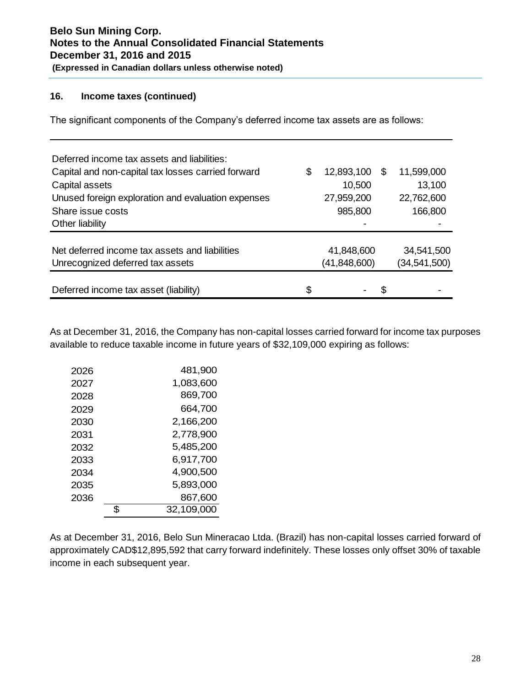## **16. Income taxes (continued)**

The significant components of the Company's deferred income tax assets are as follows:

| Deferred income tax assets and liabilities:        |                  |   |                |
|----------------------------------------------------|------------------|---|----------------|
| Capital and non-capital tax losses carried forward | \$<br>12,893,100 | S | 11,599,000     |
| Capital assets                                     | 10,500           |   | 13,100         |
| Unused foreign exploration and evaluation expenses | 27,959,200       |   | 22,762,600     |
| Share issue costs                                  | 985,800          |   | 166,800        |
| Other liability                                    |                  |   |                |
|                                                    |                  |   |                |
| Net deferred income tax assets and liabilities     | 41,848,600       |   | 34,541,500     |
| Unrecognized deferred tax assets                   | (41,848,600)     |   | (34, 541, 500) |
|                                                    |                  |   |                |
| Deferred income tax asset (liability)              | \$               | S |                |

As at December 31, 2016, the Company has non-capital losses carried forward for income tax purposes available to reduce taxable income in future years of \$32,109,000 expiring as follows:

| 2026 |   | 481,900    |
|------|---|------------|
| 2027 |   | 1,083,600  |
| 2028 |   | 869,700    |
| 2029 |   | 664,700    |
| 2030 |   | 2,166,200  |
| 2031 |   | 2,778,900  |
| 2032 |   | 5,485,200  |
| 2033 |   | 6,917,700  |
| 2034 |   | 4,900,500  |
| 2035 |   | 5,893,000  |
| 2036 |   | 867,600    |
|      | ዳ | 32,109,000 |

As at December 31, 2016, Belo Sun Mineracao Ltda. (Brazil) has non-capital losses carried forward of approximately CAD\$12,895,592 that carry forward indefinitely. These losses only offset 30% of taxable income in each subsequent year.